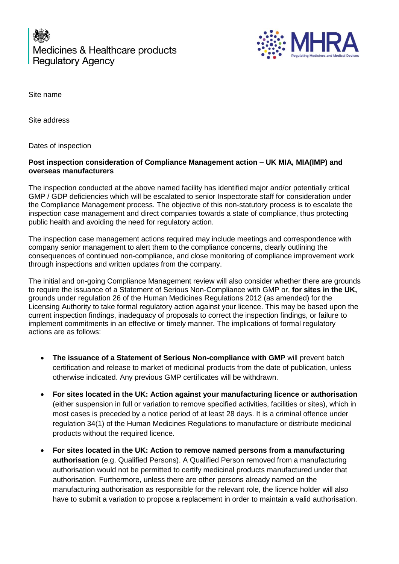Medicines & Healthcare products **Regulatory Agency** 



Site name

Site address

Dates of inspection

## **Post inspection consideration of Compliance Management action – UK MIA, MIA(IMP) and overseas manufacturers**

The inspection conducted at the above named facility has identified major and/or potentially critical GMP / GDP deficiencies which will be escalated to senior Inspectorate staff for consideration under the Compliance Management process. The objective of this non-statutory process is to escalate the inspection case management and direct companies towards a state of compliance, thus protecting public health and avoiding the need for regulatory action.

The inspection case management actions required may include meetings and correspondence with company senior management to alert them to the compliance concerns, clearly outlining the consequences of continued non-compliance, and close monitoring of compliance improvement work through inspections and written updates from the company.

The initial and on-going Compliance Management review will also consider whether there are grounds to require the issuance of a Statement of Serious Non-Compliance with GMP or, **for sites in the UK,**  grounds under regulation 26 of the Human Medicines Regulations 2012 (as amended) for the Licensing Authority to take formal regulatory action against your licence. This may be based upon the current inspection findings, inadequacy of proposals to correct the inspection findings, or failure to implement commitments in an effective or timely manner. The implications of formal regulatory actions are as follows:

- **The issuance of a Statement of Serious Non-compliance with GMP** will prevent batch certification and release to market of medicinal products from the date of publication, unless otherwise indicated. Any previous GMP certificates will be withdrawn.
- **For sites located in the UK: Action against your manufacturing licence or authorisation** (either suspension in full or variation to remove specified activities, facilities or sites), which in most cases is preceded by a notice period of at least 28 days. It is a criminal offence under regulation 34(1) of the Human Medicines Regulations to manufacture or distribute medicinal products without the required licence.
- **For sites located in the UK: Action to remove named persons from a manufacturing authorisation** (e.g. Qualified Persons). A Qualified Person removed from a manufacturing authorisation would not be permitted to certify medicinal products manufactured under that authorisation. Furthermore, unless there are other persons already named on the manufacturing authorisation as responsible for the relevant role, the licence holder will also have to submit a variation to propose a replacement in order to maintain a valid authorisation.